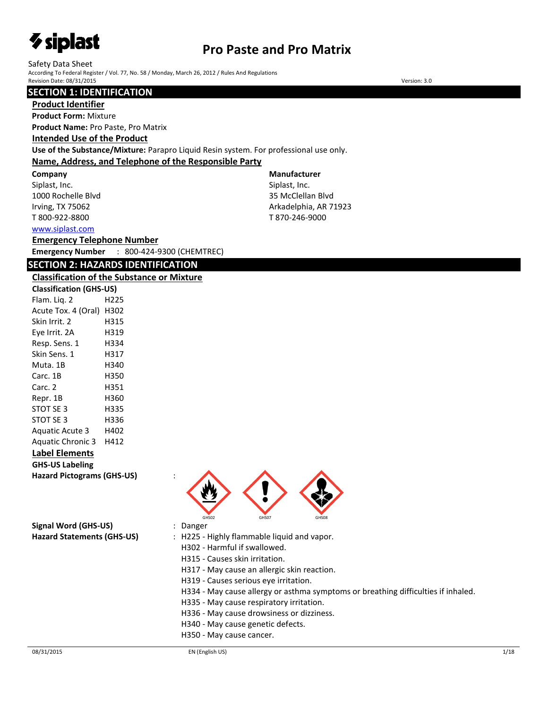# *V* siplast

# **Pro Paste and Pro Matrix**

**Manufacturer** Siplast, Inc. 35 McClellan Blvd Arkadelphia, AR 71923 T 870-246-9000

Safety Data Sheet

According To Federal Register / Vol. 77, No. 58 / Monday, March 26, 2012 / Rules And Regulations Revision Date: 08/31/2015 Version: 3.0

### **SECTION 1: IDENTIFICATION**

#### **Product Identifier**

**Product Form:** Mixture

**Product Name:** Pro Paste, Pro Matrix

### **Intended Use of the Product**

**Use of the Substance/Mixture:** Parapro Liquid Resin system. For professional use only.

### **Name, Address, and Telephone of the Responsible Party**

**Company** 

Siplast, Inc. 1000 Rochelle Blvd Irving, TX 75062 T 800-922-8800

[www.siplast.com](../../../../AppData/Local/Temp/www.siplast.com)

### **Emergency Telephone Number**

**Emergency Number** : 800-424-9300 (CHEMTREC)

# **SECTION 2: HAZARDS IDENTIFICATION**

#### **Classification of the Substance or Mixture**

| <b>Classification (GHS-US)</b>   |      |
|----------------------------------|------|
| Flam. Lig. 2                     | H225 |
| Acute Tox. 4 (Oral) H302         |      |
| Skin Irrit. 2                    | H315 |
| Eye Irrit. 2A                    | H319 |
| Resp. Sens. 1                    | H334 |
| Skin Sens. 1                     | H317 |
| Muta. 1B                         | H340 |
| Carc. 1B                         | H350 |
| Carc. 2                          | H351 |
| Repr. 1B                         | H360 |
| STOT SE 3                        | H335 |
| STOT SE 3                        | H336 |
| <b>Aguatic Acute 3</b>           | H402 |
| Aquatic Chronic 3 H412           |      |
| Label Elements                   |      |
| <b>GHS-US Labeling</b>           |      |
| <b>Hazard Pictograms (GHS-US</b> |      |

**Hazard Pictograms (GHS-US)** :



**Signal Word (GHS-US)** : Danger

- 
- **Hazard Statements (GHS-US)** : H225 Highly flammable liquid and vapor.
	- H302 Harmful if swallowed.
	- H315 Causes skin irritation.
	- H317 May cause an allergic skin reaction.
	- H319 Causes serious eye irritation.
	- H334 May cause allergy or asthma symptoms or breathing difficulties if inhaled.
	- H335 May cause respiratory irritation.
	- H336 May cause drowsiness or dizziness.
	- H340 May cause genetic defects.
	- H350 May cause cancer.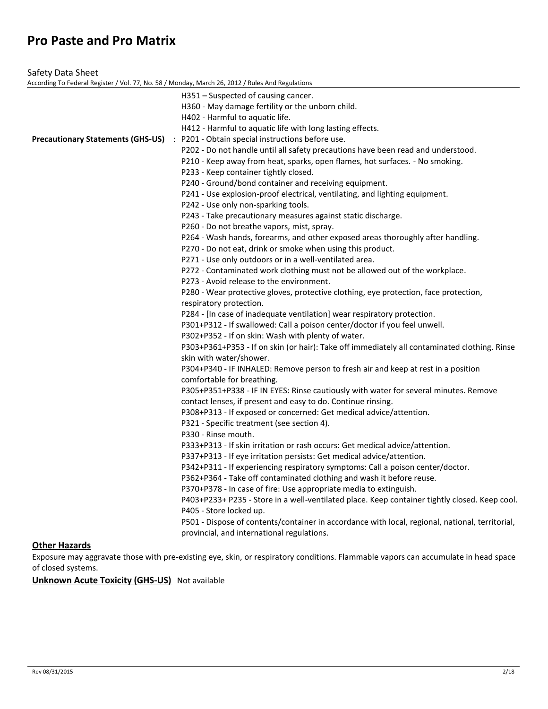| Safety Data Sheet                                                                                |                                                                                                                         |
|--------------------------------------------------------------------------------------------------|-------------------------------------------------------------------------------------------------------------------------|
| According To Federal Register / Vol. 77, No. 58 / Monday, March 26, 2012 / Rules And Regulations |                                                                                                                         |
|                                                                                                  | H351 – Suspected of causing cancer.                                                                                     |
|                                                                                                  | H360 - May damage fertility or the unborn child.                                                                        |
|                                                                                                  | H402 - Harmful to aquatic life.                                                                                         |
|                                                                                                  | H412 - Harmful to aquatic life with long lasting effects.                                                               |
| <b>Precautionary Statements (GHS-US)</b>                                                         | : P201 - Obtain special instructions before use.                                                                        |
|                                                                                                  | P202 - Do not handle until all safety precautions have been read and understood.                                        |
|                                                                                                  | P210 - Keep away from heat, sparks, open flames, hot surfaces. - No smoking.                                            |
|                                                                                                  | P233 - Keep container tightly closed.                                                                                   |
|                                                                                                  | P240 - Ground/bond container and receiving equipment.                                                                   |
|                                                                                                  | P241 - Use explosion-proof electrical, ventilating, and lighting equipment.                                             |
|                                                                                                  | P242 - Use only non-sparking tools.                                                                                     |
|                                                                                                  | P243 - Take precautionary measures against static discharge.                                                            |
|                                                                                                  | P260 - Do not breathe vapors, mist, spray.                                                                              |
|                                                                                                  | P264 - Wash hands, forearms, and other exposed areas thoroughly after handling.                                         |
|                                                                                                  | P270 - Do not eat, drink or smoke when using this product.                                                              |
|                                                                                                  | P271 - Use only outdoors or in a well-ventilated area.                                                                  |
|                                                                                                  | P272 - Contaminated work clothing must not be allowed out of the workplace.<br>P273 - Avoid release to the environment. |
|                                                                                                  | P280 - Wear protective gloves, protective clothing, eye protection, face protection,                                    |
|                                                                                                  | respiratory protection.                                                                                                 |
|                                                                                                  | P284 - [In case of inadequate ventilation] wear respiratory protection.                                                 |
|                                                                                                  | P301+P312 - If swallowed: Call a poison center/doctor if you feel unwell.                                               |
|                                                                                                  | P302+P352 - If on skin: Wash with plenty of water.                                                                      |
|                                                                                                  | P303+P361+P353 - If on skin (or hair): Take off immediately all contaminated clothing. Rinse                            |
|                                                                                                  | skin with water/shower.                                                                                                 |
|                                                                                                  | P304+P340 - IF INHALED: Remove person to fresh air and keep at rest in a position                                       |
|                                                                                                  | comfortable for breathing.                                                                                              |
|                                                                                                  | P305+P351+P338 - IF IN EYES: Rinse cautiously with water for several minutes. Remove                                    |
|                                                                                                  | contact lenses, if present and easy to do. Continue rinsing.                                                            |
|                                                                                                  | P308+P313 - If exposed or concerned: Get medical advice/attention.                                                      |
|                                                                                                  | P321 - Specific treatment (see section 4).                                                                              |
|                                                                                                  | P330 - Rinse mouth.                                                                                                     |
|                                                                                                  | P333+P313 - If skin irritation or rash occurs: Get medical advice/attention.                                            |
|                                                                                                  | P337+P313 - If eye irritation persists: Get medical advice/attention.                                                   |
|                                                                                                  | P342+P311 - If experiencing respiratory symptoms: Call a poison center/doctor.                                          |
|                                                                                                  | P362+P364 - Take off contaminated clothing and wash it before reuse.                                                    |
|                                                                                                  | P370+P378 - In case of fire: Use appropriate media to extinguish.                                                       |
|                                                                                                  | P403+P233+ P235 - Store in a well-ventilated place. Keep container tightly closed. Keep cool.                           |
|                                                                                                  | P405 - Store locked up.                                                                                                 |
|                                                                                                  | P501 - Dispose of contents/container in accordance with local, regional, national, territorial,                         |
|                                                                                                  | provincial, and international regulations.                                                                              |
| <b>Other Hazards</b>                                                                             |                                                                                                                         |

Exposure may aggravate those with pre-existing eye, skin, or respiratory conditions. Flammable vapors can accumulate in head space of closed systems.

**Unknown Acute Toxicity (GHS-US)** Not available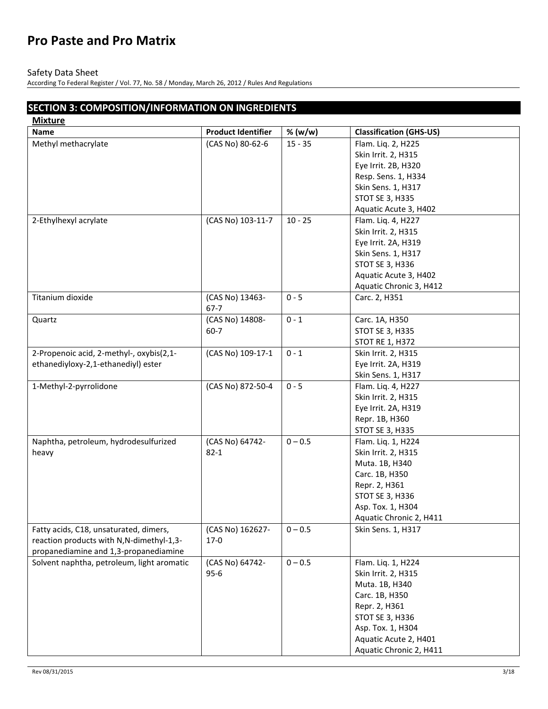### Safety Data Sheet

**Mixture**

According To Federal Register / Vol. 77, No. 58 / Monday, March 26, 2012 / Rules And Regulations

# **SECTION 3: COMPOSITION/INFORMATION ON INGREDIENTS**

| <b>MIXTURE</b>                             |                           |           |                                |
|--------------------------------------------|---------------------------|-----------|--------------------------------|
| <b>Name</b>                                | <b>Product Identifier</b> | % (w/w)   | <b>Classification (GHS-US)</b> |
| Methyl methacrylate                        | (CAS No) 80-62-6          | $15 - 35$ | Flam. Liq. 2, H225             |
|                                            |                           |           | Skin Irrit. 2, H315            |
|                                            |                           |           | Eye Irrit. 2B, H320            |
|                                            |                           |           | Resp. Sens. 1, H334            |
|                                            |                           |           | Skin Sens. 1, H317             |
|                                            |                           |           | <b>STOT SE 3, H335</b>         |
|                                            |                           |           | Aquatic Acute 3, H402          |
| 2-Ethylhexyl acrylate                      | (CAS No) 103-11-7         | $10 - 25$ | Flam. Liq. 4, H227             |
|                                            |                           |           | Skin Irrit. 2, H315            |
|                                            |                           |           | Eye Irrit. 2A, H319            |
|                                            |                           |           | Skin Sens. 1, H317             |
|                                            |                           |           | STOT SE 3, H336                |
|                                            |                           |           | Aquatic Acute 3, H402          |
|                                            |                           |           | Aquatic Chronic 3, H412        |
| Titanium dioxide                           | (CAS No) 13463-           | $0 - 5$   |                                |
|                                            | $67 - 7$                  |           | Carc. 2, H351                  |
| Quartz                                     | (CAS No) 14808-           | $0 - 1$   | Carc. 1A, H350                 |
|                                            | $60 - 7$                  |           | STOT SE 3, H335                |
|                                            |                           |           | <b>STOT RE 1, H372</b>         |
| 2-Propenoic acid, 2-methyl-, oxybis(2,1-   | (CAS No) 109-17-1         | $0 - 1$   | Skin Irrit. 2, H315            |
|                                            |                           |           |                                |
| ethanediyloxy-2,1-ethanediyl) ester        |                           |           | Eye Irrit. 2A, H319            |
|                                            |                           |           | Skin Sens. 1, H317             |
| 1-Methyl-2-pyrrolidone                     | (CAS No) 872-50-4         | $0 - 5$   | Flam. Liq. 4, H227             |
|                                            |                           |           | Skin Irrit. 2, H315            |
|                                            |                           |           | Eye Irrit. 2A, H319            |
|                                            |                           |           | Repr. 1B, H360                 |
|                                            |                           |           | STOT SE 3, H335                |
| Naphtha, petroleum, hydrodesulfurized      | (CAS No) 64742-           | $0 - 0.5$ | Flam. Liq. 1, H224             |
| heavy                                      | $82 - 1$                  |           | Skin Irrit. 2, H315            |
|                                            |                           |           | Muta. 1B, H340                 |
|                                            |                           |           | Carc. 1B, H350                 |
|                                            |                           |           | Repr. 2, H361                  |
|                                            |                           |           | STOT SE 3, H336                |
|                                            |                           |           | Asp. Tox. 1, H304              |
|                                            |                           |           | Aquatic Chronic 2, H411        |
| Fatty acids, C18, unsaturated, dimers,     | (CAS No) 162627-          | $0 - 0.5$ | Skin Sens. 1, H317             |
| reaction products with N,N-dimethyl-1,3-   | $17-0$                    |           |                                |
| propanediamine and 1,3-propanediamine      |                           |           |                                |
| Solvent naphtha, petroleum, light aromatic | (CAS No) 64742-           | $0 - 0.5$ | Flam. Liq. 1, H224             |
|                                            | $95 - 6$                  |           | Skin Irrit. 2, H315            |
|                                            |                           |           | Muta. 1B, H340                 |
|                                            |                           |           | Carc. 1B, H350                 |
|                                            |                           |           | Repr. 2, H361                  |
|                                            |                           |           | STOT SE 3, H336                |
|                                            |                           |           | Asp. Tox. 1, H304              |
|                                            |                           |           | Aquatic Acute 2, H401          |
|                                            |                           |           | Aquatic Chronic 2, H411        |
|                                            |                           |           |                                |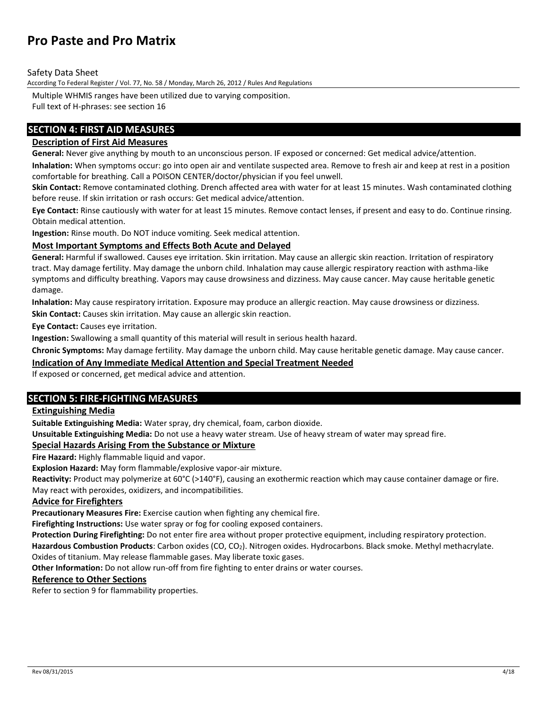Safety Data Sheet

According To Federal Register / Vol. 77, No. 58 / Monday, March 26, 2012 / Rules And Regulations

Multiple WHMIS ranges have been utilized due to varying composition.

Full text of H-phrases: see section 16

# **SECTION 4: FIRST AID MEASURES**

# **Description of First Aid Measures**

**General:** Never give anything by mouth to an unconscious person. IF exposed or concerned: Get medical advice/attention.

**Inhalation:** When symptoms occur: go into open air and ventilate suspected area. Remove to fresh air and keep at rest in a position comfortable for breathing. Call a POISON CENTER/doctor/physician if you feel unwell.

**Skin Contact:** Remove contaminated clothing. Drench affected area with water for at least 15 minutes. Wash contaminated clothing before reuse. If skin irritation or rash occurs: Get medical advice/attention.

**Eye Contact:** Rinse cautiously with water for at least 15 minutes. Remove contact lenses, if present and easy to do. Continue rinsing. Obtain medical attention.

**Ingestion:** Rinse mouth. Do NOT induce vomiting. Seek medical attention.

### **Most Important Symptoms and Effects Both Acute and Delayed**

**General:** Harmful if swallowed. Causes eye irritation. Skin irritation. May cause an allergic skin reaction. Irritation of respiratory tract. May damage fertility. May damage the unborn child. Inhalation may cause allergic respiratory reaction with asthma-like symptoms and difficulty breathing. Vapors may cause drowsiness and dizziness. May cause cancer. May cause heritable genetic damage.

**Inhalation:** May cause respiratory irritation. Exposure may produce an allergic reaction. May cause drowsiness or dizziness.

**Skin Contact:** Causes skin irritation. May cause an allergic skin reaction.

**Eye Contact:** Causes eye irritation.

**Ingestion:** Swallowing a small quantity of this material will result in serious health hazard.

**Chronic Symptoms:** May damage fertility. May damage the unborn child. May cause heritable genetic damage. May cause cancer.

### **Indication of Any Immediate Medical Attention and Special Treatment Needed**

If exposed or concerned, get medical advice and attention.

### **SECTION 5: FIRE-FIGHTING MEASURES**

### **Extinguishing Media**

**Suitable Extinguishing Media:** Water spray, dry chemical, foam, carbon dioxide.

**Unsuitable Extinguishing Media:** Do not use a heavy water stream. Use of heavy stream of water may spread fire.

### **Special Hazards Arising From the Substance or Mixture**

**Fire Hazard:** Highly flammable liquid and vapor.

**Explosion Hazard:** May form flammable/explosive vapor-air mixture.

**Reactivity:** Product may polymerize at 60°C (>140°F), causing an exothermic reaction which may cause container damage or fire. May react with peroxides, oxidizers, and incompatibilities.

### **Advice for Firefighters**

**Precautionary Measures Fire:** Exercise caution when fighting any chemical fire.

**Firefighting Instructions:** Use water spray or fog for cooling exposed containers.

**Protection During Firefighting:** Do not enter fire area without proper protective equipment, including respiratory protection.

**Hazardous Combustion Products**: Carbon oxides (CO, CO2). Nitrogen oxides. Hydrocarbons. Black smoke. Methyl methacrylate.

Oxides of titanium. May release flammable gases. May liberate toxic gases.

**Other Information:** Do not allow run-off from fire fighting to enter drains or water courses.

#### **Reference to Other Sections**

Refer to section 9 for flammability properties.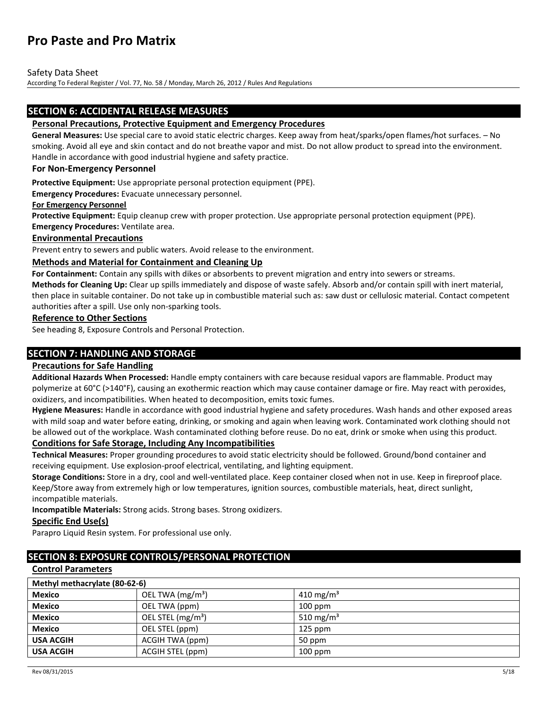Safety Data Sheet

According To Federal Register / Vol. 77, No. 58 / Monday, March 26, 2012 / Rules And Regulations

### **SECTION 6: ACCIDENTAL RELEASE MEASURES**

#### **Personal Precautions, Protective Equipment and Emergency Procedures**

**General Measures:** Use special care to avoid static electric charges. Keep away from heat/sparks/open flames/hot surfaces. – No smoking. Avoid all eye and skin contact and do not breathe vapor and mist. Do not allow product to spread into the environment. Handle in accordance with good industrial hygiene and safety practice.

#### **For Non-Emergency Personnel**

**Protective Equipment:** Use appropriate personal protection equipment (PPE).

**Emergency Procedures:** Evacuate unnecessary personnel.

#### **For Emergency Personnel**

**Protective Equipment:** Equip cleanup crew with proper protection. Use appropriate personal protection equipment (PPE). **Emergency Procedures:** Ventilate area.

#### **Environmental Precautions**

Prevent entry to sewers and public waters. Avoid release to the environment.

#### **Methods and Material for Containment and Cleaning Up**

**For Containment:** Contain any spills with dikes or absorbents to prevent migration and entry into sewers or streams.

**Methods for Cleaning Up:** Clear up spills immediately and dispose of waste safely. Absorb and/or contain spill with inert material, then place in suitable container. Do not take up in combustible material such as: saw dust or cellulosic material. Contact competent authorities after a spill. Use only non-sparking tools.

#### **Reference to Other Sections**

See heading 8, Exposure Controls and Personal Protection.

### **SECTION 7: HANDLING AND STORAGE**

### **Precautions for Safe Handling**

**Additional Hazards When Processed:** Handle empty containers with care because residual vapors are flammable. Product may polymerize at 60°C (>140°F), causing an exothermic reaction which may cause container damage or fire. May react with peroxides, oxidizers, and incompatibilities. When heated to decomposition, emits toxic fumes.

**Hygiene Measures:** Handle in accordance with good industrial hygiene and safety procedures. Wash hands and other exposed areas with mild soap and water before eating, drinking, or smoking and again when leaving work. Contaminated work clothing should not be allowed out of the workplace. Wash contaminated clothing before reuse. Do no eat, drink or smoke when using this product.

# **Conditions for Safe Storage, Including Any Incompatibilities**

**Technical Measures:** Proper grounding procedures to avoid static electricity should be followed. Ground/bond container and receiving equipment. Use explosion-proof electrical, ventilating, and lighting equipment.

**Storage Conditions:** Store in a dry, cool and well-ventilated place. Keep container closed when not in use. Keep in fireproof place. Keep/Store away from extremely high or low temperatures, ignition sources, combustible materials, heat, direct sunlight, incompatible materials.

**Incompatible Materials:** Strong acids. Strong bases. Strong oxidizers.

### **Specific End Use(s)**

Parapro Liquid Resin system. For professional use only.

# **SECTION 8: EXPOSURE CONTROLS/PERSONAL PROTECTION**

#### **Control Parameters**

| Methyl methacrylate (80-62-6) |                    |                       |  |
|-------------------------------|--------------------|-----------------------|--|
| <b>Mexico</b>                 | OEL TWA $(mg/m3)$  | 410 mg/m <sup>3</sup> |  |
| <b>Mexico</b>                 | OEL TWA (ppm)      | $100$ ppm             |  |
| <b>Mexico</b>                 | OEL STEL $(mg/m3)$ | 510 mg/m <sup>3</sup> |  |
| <b>Mexico</b>                 | OEL STEL (ppm)     | $125$ ppm             |  |
| <b>USA ACGIH</b>              | ACGIH TWA (ppm)    | 50 ppm                |  |
| <b>USA ACGIH</b>              | ACGIH STEL (ppm)   | $100$ ppm             |  |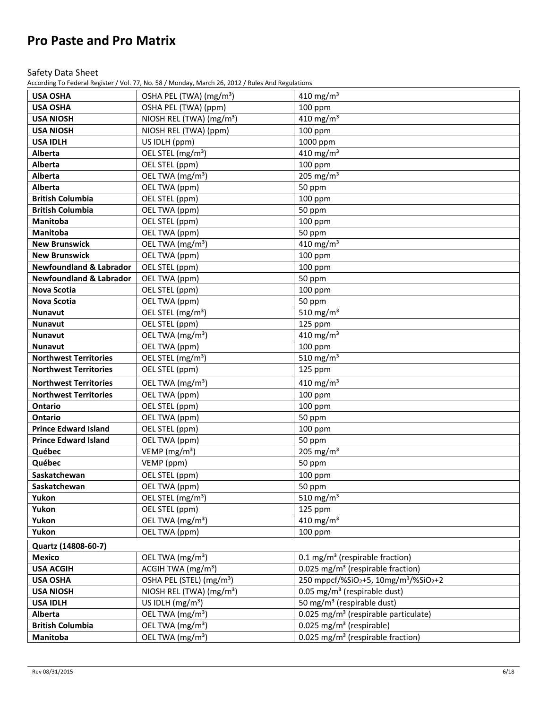### Safety Data Sheet

According To Federal Register / Vol. 77, No. 58 / Monday, March 26, 2012 / Rules And Regulations

| <b>USA OSHA</b>                    | OSHA PEL (TWA) (mg/m <sup>3</sup> )  | 410 mg/m <sup>3</sup>                                                       |
|------------------------------------|--------------------------------------|-----------------------------------------------------------------------------|
| <b>USA OSHA</b>                    | OSHA PEL (TWA) (ppm)                 | 100 ppm                                                                     |
| <b>USA NIOSH</b>                   | NIOSH REL (TWA) (mg/m <sup>3</sup> ) | 410 mg/m $3$                                                                |
| <b>USA NIOSH</b>                   | NIOSH REL (TWA) (ppm)                | 100 ppm                                                                     |
| <b>USA IDLH</b>                    | US IDLH (ppm)                        | 1000 ppm                                                                    |
| Alberta                            | OEL STEL (mg/m <sup>3</sup> )        | 410 mg/m $3$                                                                |
| Alberta                            | OEL STEL (ppm)                       | 100 ppm                                                                     |
| Alberta                            | OEL TWA (mg/m <sup>3</sup> )         | 205 mg/m $3$                                                                |
| <b>Alberta</b>                     | OEL TWA (ppm)                        | 50 ppm                                                                      |
| <b>British Columbia</b>            | OEL STEL (ppm)                       | 100 ppm                                                                     |
| <b>British Columbia</b>            | OEL TWA (ppm)                        | 50 ppm                                                                      |
| <b>Manitoba</b>                    | OEL STEL (ppm)                       | 100 ppm                                                                     |
| <b>Manitoba</b>                    | OEL TWA (ppm)                        | 50 ppm                                                                      |
| <b>New Brunswick</b>               | OEL TWA (mg/m <sup>3</sup> )         | $\frac{1}{4}$ 10 mg/m <sup>3</sup>                                          |
| <b>New Brunswick</b>               | OEL TWA (ppm)                        | 100 ppm                                                                     |
| <b>Newfoundland &amp; Labrador</b> | OEL STEL (ppm)                       | 100 ppm                                                                     |
| <b>Newfoundland &amp; Labrador</b> | OEL TWA (ppm)                        | 50 ppm                                                                      |
| Nova Scotia                        | OEL STEL (ppm)                       | 100 ppm                                                                     |
| <b>Nova Scotia</b>                 | OEL TWA (ppm)                        | 50 ppm                                                                      |
| <b>Nunavut</b>                     | OEL STEL (mg/m <sup>3</sup> )        | 510 mg/m <sup>3</sup>                                                       |
| Nunavut                            | OEL STEL (ppm)                       | 125 ppm                                                                     |
| Nunavut                            | OEL TWA (mg/m <sup>3</sup> )         | 410 mg/m $3$                                                                |
| <b>Nunavut</b>                     | OEL TWA (ppm)                        | 100 ppm                                                                     |
| <b>Northwest Territories</b>       | OEL STEL (mg/m <sup>3</sup> )        | 510 mg/m $3$                                                                |
| <b>Northwest Territories</b>       | OEL STEL (ppm)                       | 125 ppm                                                                     |
| <b>Northwest Territories</b>       | OEL TWA (mg/m <sup>3</sup> )         | 410 mg/m $3$                                                                |
| <b>Northwest Territories</b>       | OEL TWA (ppm)                        | 100 ppm                                                                     |
| Ontario                            | OEL STEL (ppm)                       | 100 ppm                                                                     |
| Ontario                            | OEL TWA (ppm)                        |                                                                             |
| <b>Prince Edward Island</b>        |                                      | 50 ppm                                                                      |
| <b>Prince Edward Island</b>        | OEL STEL (ppm)                       | 100 ppm                                                                     |
|                                    | OEL TWA (ppm)                        | 50 ppm                                                                      |
| Québec                             | VEMP ( $mg/m3$ )                     | 205 mg/m $3$                                                                |
| Québec                             | VEMP (ppm)                           | 50 ppm                                                                      |
| Saskatchewan                       | OEL STEL (ppm)                       | 100 ppm                                                                     |
| Saskatchewan                       | OEL TWA (ppm)                        | 50 ppm                                                                      |
| Yukon                              | OEL STEL (mg/m <sup>3</sup> )        | 510 mg/m <sup>3</sup>                                                       |
| Yukon                              | OEL STEL (ppm)                       | 125 ppm                                                                     |
| Yukon                              | OEL TWA (mg/m <sup>3</sup> )         | 410 mg/m <sup>3</sup>                                                       |
| Yukon                              | OEL TWA (ppm)                        | 100 ppm                                                                     |
| Quartz (14808-60-7)                |                                      |                                                                             |
| <b>Mexico</b>                      | OEL TWA (mg/m <sup>3</sup> )         | 0.1 mg/m <sup>3</sup> (respirable fraction)                                 |
| <b>USA ACGIH</b>                   | ACGIH TWA (mg/m <sup>3</sup> )       | 0.025 mg/m <sup>3</sup> (respirable fraction)                               |
| <b>USA OSHA</b>                    | OSHA PEL (STEL) (mg/m <sup>3</sup> ) | $250$ mppcf/%SiO <sub>2</sub> +5, 10mg/m <sup>3</sup> /%SiO <sub>2</sub> +2 |
| <b>USA NIOSH</b>                   | NIOSH REL (TWA) (mg/m <sup>3</sup> ) | 0.05 mg/m <sup>3</sup> (respirable dust)                                    |
| <b>USA IDLH</b>                    | US IDLH $(mg/m3)$                    | 50 mg/m <sup>3</sup> (respirable dust)                                      |
| Alberta                            | OEL TWA (mg/m <sup>3</sup> )         | 0.025 mg/m <sup>3</sup> (respirable particulate)                            |
| <b>British Columbia</b>            | OEL TWA (mg/m <sup>3</sup> )         | $0.025$ mg/m <sup>3</sup> (respirable)                                      |
| Manitoba                           | OEL TWA $(mg/m3)$                    | $0.025$ mg/m <sup>3</sup> (respirable fraction)                             |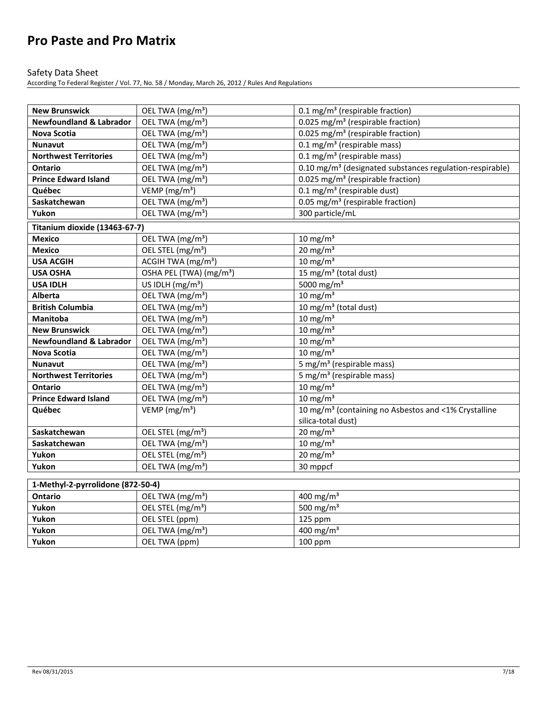### Safety Data Sheet

| <b>New Brunswick</b>               | OEL TWA (mg/m <sup>3</sup> )                                                                                                                                                                                                                                                                                       | 0.1 mg/m <sup>3</sup> (respirable fraction)                          |
|------------------------------------|--------------------------------------------------------------------------------------------------------------------------------------------------------------------------------------------------------------------------------------------------------------------------------------------------------------------|----------------------------------------------------------------------|
| <b>Newfoundland &amp; Labrador</b> | OEL TWA (mg/m <sup>3</sup> )                                                                                                                                                                                                                                                                                       | 0.025 mg/m <sup>3</sup> (respirable fraction)                        |
| Nova Scotia                        | OEL TWA (mg/m <sup>3</sup> )                                                                                                                                                                                                                                                                                       | 0.025 mg/m <sup>3</sup> (respirable fraction)                        |
| <b>Nunavut</b>                     | OEL TWA (mg/m <sup>3</sup> )                                                                                                                                                                                                                                                                                       | $0.1$ mg/m <sup>3</sup> (respirable mass)                            |
| <b>Northwest Territories</b>       | OEL TWA (mg/m <sup>3</sup> )                                                                                                                                                                                                                                                                                       | 0.1 mg/m <sup>3</sup> (respirable mass)                              |
| <b>Ontario</b>                     | OEL TWA (mg/m <sup>3</sup> )                                                                                                                                                                                                                                                                                       | 0.10 mg/m <sup>3</sup> (designated substances regulation-respirable) |
| <b>Prince Edward Island</b>        | OEL TWA (mg/m <sup>3</sup> )                                                                                                                                                                                                                                                                                       | 0.025 mg/m <sup>3</sup> (respirable fraction)                        |
| Québec                             | VEMP ( $mg/m3$ )                                                                                                                                                                                                                                                                                                   | $0.1$ mg/m <sup>3</sup> (respirable dust)                            |
| Saskatchewan                       | OEL TWA (mg/m <sup>3</sup> )                                                                                                                                                                                                                                                                                       | 0.05 mg/m <sup>3</sup> (respirable fraction)                         |
| Yukon                              | OEL TWA (mg/m <sup>3</sup> )                                                                                                                                                                                                                                                                                       | 300 particle/mL                                                      |
| Titanium dioxide (13463-67-7)      |                                                                                                                                                                                                                                                                                                                    |                                                                      |
| <b>Mexico</b>                      | OEL TWA (mg/m <sup>3</sup> )                                                                                                                                                                                                                                                                                       | $10 \text{ mg/m}^3$                                                  |
| <b>Mexico</b>                      | OEL STEL (mg/m <sup>3</sup> )                                                                                                                                                                                                                                                                                      | $20 \text{ mg/m}^3$                                                  |
| <b>USA ACGIH</b>                   | ACGIH TWA (mg/m <sup>3</sup> )                                                                                                                                                                                                                                                                                     | $10 \text{ mg/m}^3$                                                  |
| <b>USA OSHA</b>                    | OSHA PEL (TWA) (mg/m <sup>3</sup> )                                                                                                                                                                                                                                                                                | 15 mg/m <sup>3</sup> (total dust)                                    |
| <b>USA IDLH</b>                    | US IDLH $(mg/m3)$                                                                                                                                                                                                                                                                                                  | 5000 mg/m <sup>3</sup>                                               |
| <b>Alberta</b>                     | OEL TWA (mg/m <sup>3</sup> )                                                                                                                                                                                                                                                                                       | $10 \text{ mg/m}^3$                                                  |
| <b>British Columbia</b>            | OEL TWA (mg/m <sup>3</sup> )                                                                                                                                                                                                                                                                                       | 10 mg/m <sup>3</sup> (total dust)                                    |
| <b>Manitoba</b>                    | OEL TWA (mg/m <sup>3</sup> )                                                                                                                                                                                                                                                                                       | $10 \text{ mg/m}^3$                                                  |
| <b>New Brunswick</b>               | OEL TWA (mg/m <sup>3</sup> )                                                                                                                                                                                                                                                                                       | $10 \text{ mg/m}^3$                                                  |
| <b>Newfoundland &amp; Labrador</b> | OEL TWA (mg/m <sup>3</sup> )                                                                                                                                                                                                                                                                                       | $10 \text{ mg/m}^3$                                                  |
| <b>Nova Scotia</b>                 | OEL TWA (mg/m <sup>3</sup> )                                                                                                                                                                                                                                                                                       | $10 \text{ mg/m}^3$                                                  |
| <b>Nunavut</b>                     | OEL TWA (mg/m <sup>3</sup> )                                                                                                                                                                                                                                                                                       | 5 mg/m <sup>3</sup> (respirable mass)                                |
| <b>Northwest Territories</b>       | OEL TWA (mg/m <sup>3</sup> )                                                                                                                                                                                                                                                                                       | 5 mg/m <sup>3</sup> (respirable mass)                                |
| <b>Ontario</b>                     | OEL TWA (mg/m <sup>3</sup> )                                                                                                                                                                                                                                                                                       | $10 \text{ mg/m}^3$                                                  |
| <b>Prince Edward Island</b>        | OEL TWA (mg/m <sup>3</sup> )                                                                                                                                                                                                                                                                                       | $10 \text{ mg/m}^3$                                                  |
| Québec                             | VEMP ( $mg/m3$ )                                                                                                                                                                                                                                                                                                   | 10 mg/m <sup>3</sup> (containing no Asbestos and <1% Crystalline     |
|                                    |                                                                                                                                                                                                                                                                                                                    | silica-total dust)                                                   |
| Saskatchewan                       | OEL STEL (mg/m <sup>3</sup> )                                                                                                                                                                                                                                                                                      | $20 \text{ mg/m}^3$                                                  |
| Saskatchewan                       | OEL TWA (mg/m <sup>3</sup> )                                                                                                                                                                                                                                                                                       | $10 \text{ mg/m}^3$                                                  |
| Yukon                              | OEL STEL (mg/m <sup>3</sup> )                                                                                                                                                                                                                                                                                      | $20 \text{ mg/m}^3$                                                  |
| Yukon                              | OEL TWA (mg/m <sup>3</sup> )                                                                                                                                                                                                                                                                                       | 30 mppcf                                                             |
|                                    |                                                                                                                                                                                                                                                                                                                    |                                                                      |
| 1-Methyl-2-pyrrolidone (872-50-4)  | $\sqrt{2}$ $\sqrt{2}$ $\sqrt{2}$ $\sqrt{2}$ $\sqrt{2}$ $\sqrt{2}$ $\sqrt{2}$ $\sqrt{2}$ $\sqrt{2}$ $\sqrt{2}$ $\sqrt{2}$ $\sqrt{2}$ $\sqrt{2}$ $\sqrt{2}$ $\sqrt{2}$ $\sqrt{2}$ $\sqrt{2}$ $\sqrt{2}$ $\sqrt{2}$ $\sqrt{2}$ $\sqrt{2}$ $\sqrt{2}$ $\sqrt{2}$ $\sqrt{2}$ $\sqrt{2}$ $\sqrt{2}$ $\sqrt{2}$ $\sqrt{2$ | $100 \text{ m/s} - 1 \text{ m}^3$                                    |

| Ontario | OEL TWA $(mg/m3)$             | 400 mg/m <sup>3</sup> |
|---------|-------------------------------|-----------------------|
| Yukon   | OEL STEL (mg/m <sup>3</sup> ) | 500 mg/m <sup>3</sup> |
| Yukon   | OEL STEL (ppm)                | $125$ ppm             |
| Yukon   | OEL TWA (mg/m <sup>3</sup> )  | 400 mg/m <sup>3</sup> |
| Yukon   | OEL TWA (ppm)                 | $100$ ppm             |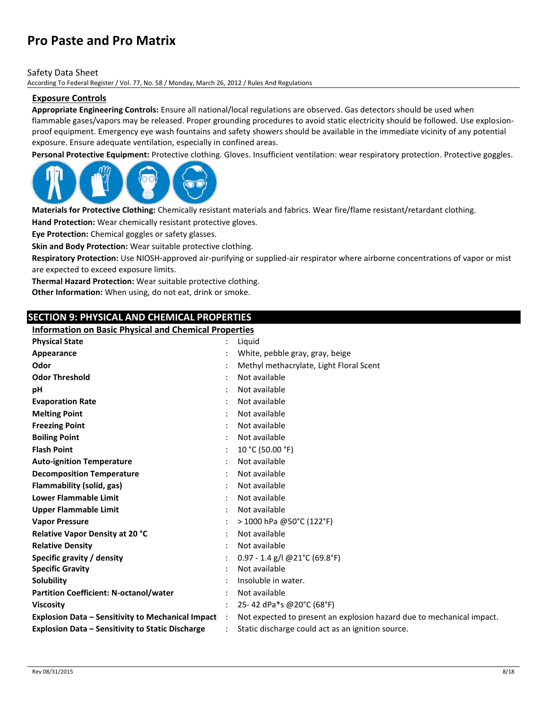#### Safety Data Sheet

According To Federal Register / Vol. 77, No. 58 / Monday, March 26, 2012 / Rules And Regulations

### **Exposure Controls**

**Appropriate Engineering Controls:** Ensure all national/local regulations are observed. Gas detectors should be used when flammable gases/vapors may be released. Proper grounding procedures to avoid static electricity should be followed. Use explosionproof equipment. Emergency eye wash fountains and safety showers should be available in the immediate vicinity of any potential exposure. Ensure adequate ventilation, especially in confined areas.

**Personal Protective Equipment:** Protective clothing. Gloves. Insufficient ventilation: wear respiratory protection. Protective goggles.



**Materials for Protective Clothing:** Chemically resistant materials and fabrics. Wear fire/flame resistant/retardant clothing.

**Hand Protection:** Wear chemically resistant protective gloves.

**Eye Protection:** Chemical goggles or safety glasses.

**Skin and Body Protection:** Wear suitable protective clothing.

**Respiratory Protection:** Use NIOSH-approved air-purifying or supplied-air respirator where airborne concentrations of vapor or mist are expected to exceed exposure limits.

**Thermal Hazard Protection:** Wear suitable protective clothing.

**Other Information:** When using, do not eat, drink or smoke.

### **SECTION 9: PHYSICAL AND CHEMICAL PROPERTIES**

# **Information on Basic Physical and Chemical Properties**

| <b>Physical State</b>                                    |           | Liguid                                                                |
|----------------------------------------------------------|-----------|-----------------------------------------------------------------------|
| Appearance                                               |           | White, pebble gray, gray, beige                                       |
| Odor                                                     |           | Methyl methacrylate, Light Floral Scent                               |
| <b>Odor Threshold</b>                                    |           | Not available                                                         |
| pH                                                       |           | Not available                                                         |
| <b>Evaporation Rate</b>                                  |           | Not available                                                         |
| <b>Melting Point</b>                                     |           | Not available                                                         |
| <b>Freezing Point</b>                                    |           | Not available                                                         |
| <b>Boiling Point</b>                                     |           | Not available                                                         |
| <b>Flash Point</b>                                       |           | 10 °C (50.00 °F)                                                      |
| <b>Auto-ignition Temperature</b>                         |           | Not available                                                         |
| <b>Decomposition Temperature</b>                         |           | Not available                                                         |
| Flammability (solid, gas)                                |           | Not available                                                         |
| <b>Lower Flammable Limit</b>                             |           | Not available                                                         |
| <b>Upper Flammable Limit</b>                             |           | Not available                                                         |
| <b>Vapor Pressure</b>                                    |           | > 1000 hPa @50°C (122°F)                                              |
| Relative Vapor Density at 20 °C                          |           | Not available                                                         |
| <b>Relative Density</b>                                  |           | Not available                                                         |
| Specific gravity / density                               |           | $0.97 - 1.4$ g/l @21°C (69.8°F)                                       |
| <b>Specific Gravity</b>                                  |           | Not available                                                         |
| Solubility                                               |           | Insoluble in water.                                                   |
| <b>Partition Coefficient: N-octanol/water</b>            |           | Not available                                                         |
| <b>Viscosity</b>                                         |           | 25-42 dPa*s @20°C (68°F)                                              |
| <b>Explosion Data - Sensitivity to Mechanical Impact</b> | $\cdot$ : | Not expected to present an explosion hazard due to mechanical impact. |
| <b>Explosion Data - Sensitivity to Static Discharge</b>  |           | Static discharge could act as an ignition source.                     |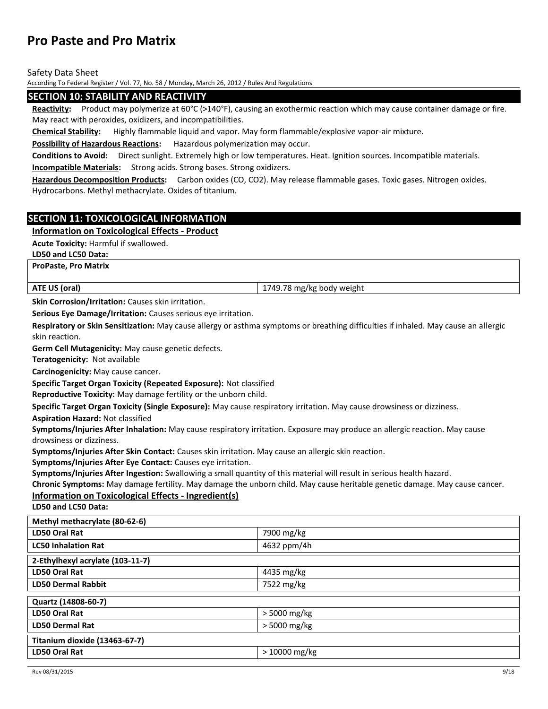Safety Data Sheet

According To Federal Register / Vol. 77, No. 58 / Monday, March 26, 2012 / Rules And Regulations

#### **SECTION 10: STABILITY AND REACTIVITY**

**Reactivity:** Product may polymerize at 60°C (>140°F), causing an exothermic reaction which may cause container damage or fire. May react with peroxides, oxidizers, and incompatibilities.

**Chemical Stability:** Highly flammable liquid and vapor. May form flammable/explosive vapor-air mixture.

**Possibility of Hazardous Reactions:** Hazardous polymerization may occur.

**Conditions to Avoid:** Direct sunlight. Extremely high or low temperatures. Heat. Ignition sources. Incompatible materials.

**Incompatible Materials:** Strong acids. Strong bases. Strong oxidizers.

**Hazardous Decomposition Products:** Carbon oxides (CO, CO2). May release flammable gases. Toxic gases. Nitrogen oxides. Hydrocarbons. Methyl methacrylate. Oxides of titanium.

### **SECTION 11: TOXICOLOGICAL INFORMATION**

**Information on Toxicological Effects - Product**

**Acute Toxicity:** Harmful if swallowed.

**LD50 and LC50 Data:**

**ProPaste, Pro Matrix**

| <b>ATE US</b><br>loral | $\overline{\phantom{a}}$<br>740<br>weigh<br>7 K.<br>noav<br>mg/<br>ּ״<br>___ |
|------------------------|------------------------------------------------------------------------------|
|                        |                                                                              |

**Skin Corrosion/Irritation:** Causes skin irritation.

**Serious Eye Damage/Irritation:** Causes serious eye irritation.

**Respiratory or Skin Sensitization:** May cause allergy or asthma symptoms or breathing difficulties if inhaled. May cause an allergic skin reaction.

**Germ Cell Mutagenicity:** May cause genetic defects.

**Teratogenicity:** Not available

**Carcinogenicity:** May cause cancer.

**Specific Target Organ Toxicity (Repeated Exposure):** Not classified

**Reproductive Toxicity:** May damage fertility or the unborn child.

**Specific Target Organ Toxicity (Single Exposure):** May cause respiratory irritation. May cause drowsiness or dizziness.

**Aspiration Hazard:** Not classified

**Symptoms/Injuries After Inhalation:** May cause respiratory irritation. Exposure may produce an allergic reaction. May cause drowsiness or dizziness.

**Symptoms/Injuries After Skin Contact:** Causes skin irritation. May cause an allergic skin reaction.

**Symptoms/Injuries After Eye Contact:** Causes eye irritation.

**Symptoms/Injuries After Ingestion:** Swallowing a small quantity of this material will result in serious health hazard.

**Chronic Symptoms:** May damage fertility. May damage the unborn child. May cause heritable genetic damage. May cause cancer.

### **Information on Toxicological Effects - Ingredient(s)**

**LD50 and LC50 Data:**

| Methyl methacrylate (80-62-6)    |                |
|----------------------------------|----------------|
| LD50 Oral Rat                    | 7900 mg/kg     |
| <b>LC50 Inhalation Rat</b>       | 4632 ppm/4h    |
| 2-Ethylhexyl acrylate (103-11-7) |                |
| LD50 Oral Rat                    | 4435 mg/kg     |
| <b>LD50 Dermal Rabbit</b>        | 7522 mg/kg     |
|                                  |                |
| Quartz (14808-60-7)              |                |
| LD50 Oral Rat                    | > 5000 mg/kg   |
| <b>LD50 Dermal Rat</b>           | > 5000 mg/kg   |
| Titanium dioxide (13463-67-7)    |                |
| <b>LD50 Oral Rat</b>             | $>10000$ mg/kg |
|                                  |                |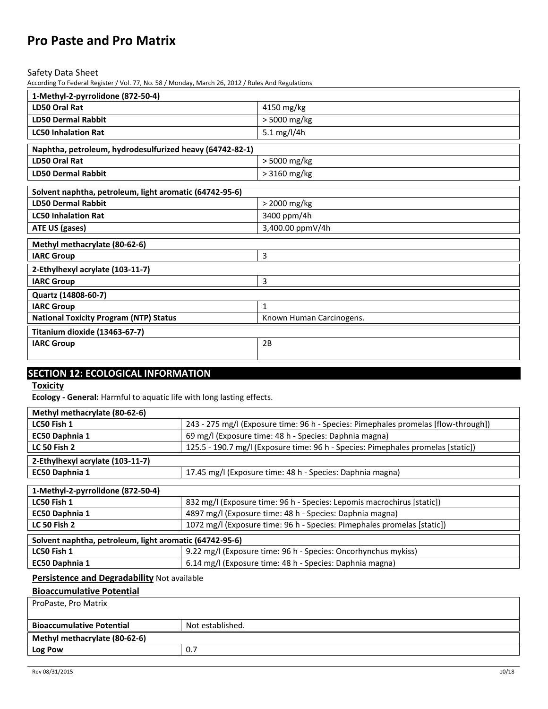Safety Data Sheet

According To Federal Register / Vol. 77, No. 58 / Monday, March 26, 2012 / Rules And Regulations

| 1-Methyl-2-pyrrolidone (872-50-4)                        |                          |  |
|----------------------------------------------------------|--------------------------|--|
| LD50 Oral Rat                                            | 4150 mg/kg               |  |
| <b>LD50 Dermal Rabbit</b>                                | > 5000 mg/kg             |  |
| <b>LC50 Inhalation Rat</b>                               | 5.1 mg/l/4h              |  |
| Naphtha, petroleum, hydrodesulfurized heavy (64742-82-1) |                          |  |
| LD50 Oral Rat                                            | > 5000 mg/kg             |  |
| <b>LD50 Dermal Rabbit</b>                                | $>3160$ mg/kg            |  |
| Solvent naphtha, petroleum, light aromatic (64742-95-6)  |                          |  |
|                                                          |                          |  |
| <b>LD50 Dermal Rabbit</b>                                | > 2000 mg/kg             |  |
| <b>LC50 Inhalation Rat</b>                               | 3400 ppm/4h              |  |
| ATE US (gases)                                           | 3,400.00 ppmV/4h         |  |
| Methyl methacrylate (80-62-6)                            |                          |  |
| <b>IARC Group</b>                                        | $\overline{3}$           |  |
| 2-Ethylhexyl acrylate (103-11-7)                         |                          |  |
| <b>IARC Group</b>                                        | 3                        |  |
| Quartz (14808-60-7)                                      |                          |  |
| <b>IARC Group</b>                                        | $\mathbf{1}$             |  |
| <b>National Toxicity Program (NTP) Status</b>            | Known Human Carcinogens. |  |
| Titanium dioxide (13463-67-7)                            |                          |  |
| <b>IARC Group</b>                                        | 2B                       |  |
|                                                          |                          |  |

# **SECTION 12: ECOLOGICAL INFORMATION**

**Toxicity** 

**Ecology - General:** Harmful to aquatic life with long lasting effects.

| Methyl methacrylate (80-62-6)    |                                                                                    |
|----------------------------------|------------------------------------------------------------------------------------|
| LC50 Fish 1                      | 243 - 275 mg/l (Exposure time: 96 h - Species: Pimephales promelas [flow-through]) |
| EC50 Daphnia 1                   | 69 mg/l (Exposure time: 48 h - Species: Daphnia magna)                             |
| <b>LC 50 Fish 2</b>              | 125.5 - 190.7 mg/l (Exposure time: 96 h - Species: Pimephales promelas [static])   |
| 2-Ethylhexyl acrylate (103-11-7) |                                                                                    |
| <b>EC50 Daphnia 1</b>            | 17.45 mg/l (Exposure time: 48 h - Species: Daphnia magna)                          |
|                                  |                                                                                    |

| 1-Methyl-2-pyrrolidone (872-50-4)                       |                                                                         |  |
|---------------------------------------------------------|-------------------------------------------------------------------------|--|
| LC50 Fish 1                                             | 832 mg/l (Exposure time: 96 h - Species: Lepomis macrochirus [static])  |  |
| EC50 Daphnia 1                                          | 4897 mg/l (Exposure time: 48 h - Species: Daphnia magna)                |  |
| <b>LC 50 Fish 2</b>                                     | 1072 mg/l (Exposure time: 96 h - Species: Pimephales promelas [static]) |  |
| Solvent naphtha, petroleum, light aromatic (64742-95-6) |                                                                         |  |
| .                                                       | $\cdots$<br>$\sim$ $\sim$ $\sim$                                        |  |

| LC50 Fish 1    | 9.22 mg/l (Exposure time: 96 h - Species: Oncorhynchus mykiss) |
|----------------|----------------------------------------------------------------|
| EC50 Daphnia 1 | 6.14 mg/l (Exposure time: 48 h - Species: Daphnia magna)       |

# **Persistence and Degradability** Not available

| <b>Bioaccumulative Potential</b> |                  |  |
|----------------------------------|------------------|--|
| ProPaste, Pro Matrix             |                  |  |
|                                  |                  |  |
| <b>Bioaccumulative Potential</b> | Not established. |  |
| Methyl methacrylate (80-62-6)    |                  |  |
| Log Pow                          | 0.7              |  |
|                                  |                  |  |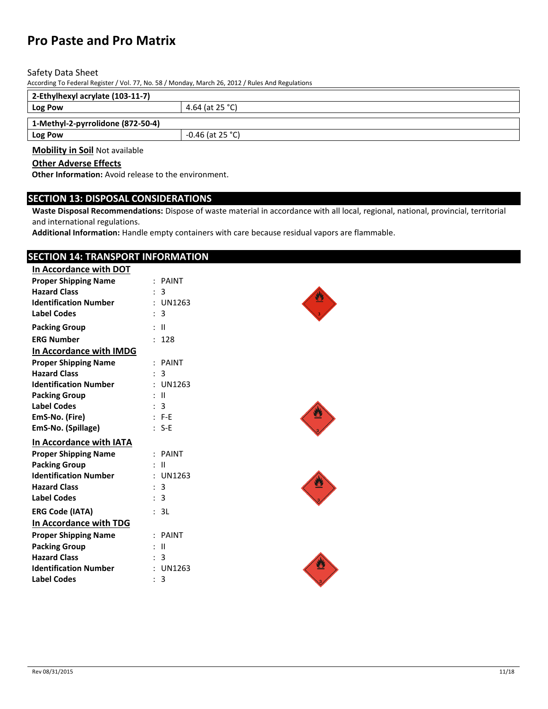#### Safety Data Sheet

According To Federal Register / Vol. 77, No. 58 / Monday, March 26, 2012 / Rules And Regulations

| 2-Ethylhexyl acrylate (103-11-7)      |                    |  |
|---------------------------------------|--------------------|--|
| 4.64 (at 25 °C)<br>Log Pow            |                    |  |
| 1-Methyl-2-pyrrolidone (872-50-4)     |                    |  |
| Log Pow                               | $-0.46$ (at 25 °C) |  |
| <b>Mobility in Soil Not available</b> |                    |  |

# **Other Adverse Effects**

**Other Information:** Avoid release to the environment.

# **SECTION 13: DISPOSAL CONSIDERATIONS**

**Waste Disposal Recommendations:** Dispose of waste material in accordance with all local, regional, national, provincial, territorial and international regulations.

**Additional Information:** Handle empty containers with care because residual vapors are flammable.

# **SECTION 14: TRANSPORT INFORMATION**

| In Accordance with DOT       |                              |
|------------------------------|------------------------------|
| <b>Proper Shipping Name</b>  | $:$ PAINT                    |
| <b>Hazard Class</b>          | 3                            |
| <b>Identification Number</b> | $:$ UN1263                   |
| <b>Label Codes</b>           | : 3                          |
| <b>Packing Group</b>         | : II                         |
| <b>ERG Number</b>            | : 128                        |
| In Accordance with IMDG      |                              |
| <b>Proper Shipping Name</b>  | $:$ PAINT                    |
| <b>Hazard Class</b>          | 3                            |
| <b>Identification Number</b> | : UN1263                     |
| <b>Packing Group</b>         | $\pm$ 11                     |
| <b>Label Codes</b>           | 3                            |
| EmS-No. (Fire)               | $: F-E$                      |
| EmS-No. (Spillage)           | $: S-E$                      |
| In Accordance with IATA      |                              |
| <b>Proper Shipping Name</b>  | $:$ PAINT                    |
| <b>Packing Group</b>         | : II                         |
| <b>Identification Number</b> | : UN1263                     |
| <b>Hazard Class</b>          | : 3                          |
| <b>Label Codes</b>           | : 3                          |
| <b>ERG Code (IATA)</b>       | 3L                           |
| In Accordance with TDG       |                              |
| <b>Proper Shipping Name</b>  | $:$ PAINT                    |
| <b>Packing Group</b>         | $\mathbf{H}$<br>$\mathbf{r}$ |
| <b>Hazard Class</b>          | : 3                          |
| <b>Identification Number</b> | : UN1263                     |
| <b>Label Codes</b>           | 3<br>$\mathbf{r}$            |
|                              |                              |





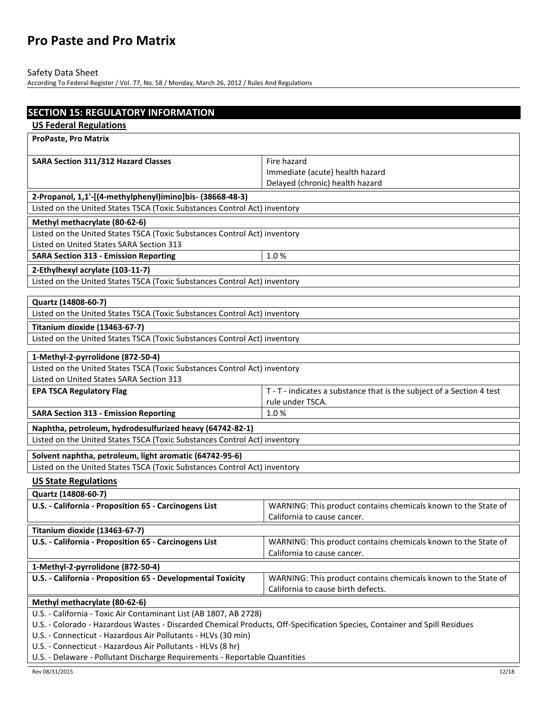# Safety Data Sheet

| <b>SECTION 15: REGULATORY INFORMATION</b>                                                                                 |                                                                       |  |
|---------------------------------------------------------------------------------------------------------------------------|-----------------------------------------------------------------------|--|
| <b>US Federal Regulations</b>                                                                                             |                                                                       |  |
| <b>ProPaste, Pro Matrix</b>                                                                                               |                                                                       |  |
|                                                                                                                           |                                                                       |  |
| SARA Section 311/312 Hazard Classes                                                                                       | Fire hazard                                                           |  |
|                                                                                                                           | Immediate (acute) health hazard                                       |  |
|                                                                                                                           | Delayed (chronic) health hazard                                       |  |
| 2-Propanol, 1,1'-[(4-methylphenyl)imino]bis- (38668-48-3)                                                                 |                                                                       |  |
| Listed on the United States TSCA (Toxic Substances Control Act) inventory                                                 |                                                                       |  |
| Methyl methacrylate (80-62-6)                                                                                             |                                                                       |  |
| Listed on the United States TSCA (Toxic Substances Control Act) inventory                                                 |                                                                       |  |
| Listed on United States SARA Section 313                                                                                  |                                                                       |  |
| <b>SARA Section 313 - Emission Reporting</b>                                                                              | 1.0%                                                                  |  |
| 2-Ethylhexyl acrylate (103-11-7)                                                                                          |                                                                       |  |
| Listed on the United States TSCA (Toxic Substances Control Act) inventory                                                 |                                                                       |  |
|                                                                                                                           |                                                                       |  |
| Quartz (14808-60-7)                                                                                                       |                                                                       |  |
| Listed on the United States TSCA (Toxic Substances Control Act) inventory                                                 |                                                                       |  |
| Titanium dioxide (13463-67-7)                                                                                             |                                                                       |  |
| Listed on the United States TSCA (Toxic Substances Control Act) inventory                                                 |                                                                       |  |
| 1-Methyl-2-pyrrolidone (872-50-4)                                                                                         |                                                                       |  |
| Listed on the United States TSCA (Toxic Substances Control Act) inventory                                                 |                                                                       |  |
| Listed on United States SARA Section 313                                                                                  |                                                                       |  |
| <b>EPA TSCA Regulatory Flag</b>                                                                                           | T - T - indicates a substance that is the subject of a Section 4 test |  |
|                                                                                                                           | rule under TSCA.                                                      |  |
| <b>SARA Section 313 - Emission Reporting</b>                                                                              | 1.0%                                                                  |  |
| Naphtha, petroleum, hydrodesulfurized heavy (64742-82-1)                                                                  |                                                                       |  |
| Listed on the United States TSCA (Toxic Substances Control Act) inventory                                                 |                                                                       |  |
|                                                                                                                           |                                                                       |  |
| Solvent naphtha, petroleum, light aromatic (64742-95-6)                                                                   |                                                                       |  |
| Listed on the United States TSCA (Toxic Substances Control Act) inventory                                                 |                                                                       |  |
| <b>US State Regulations</b>                                                                                               |                                                                       |  |
| Quartz (14808-60-7)                                                                                                       |                                                                       |  |
| U.S. - California - Proposition 65 - Carcinogens List                                                                     | WARNING: This product contains chemicals known to the State of        |  |
|                                                                                                                           | California to cause cancer.                                           |  |
| Titanium dioxide (13463-67-7)                                                                                             |                                                                       |  |
| U.S. - California - Proposition 65 - Carcinogens List                                                                     | WARNING: This product contains chemicals known to the State of        |  |
|                                                                                                                           | California to cause cancer.                                           |  |
| 1-Methyl-2-pyrrolidone (872-50-4)                                                                                         |                                                                       |  |
| U.S. - California - Proposition 65 - Developmental Toxicity                                                               | WARNING: This product contains chemicals known to the State of        |  |
|                                                                                                                           | California to cause birth defects.                                    |  |
| Methyl methacrylate (80-62-6)                                                                                             |                                                                       |  |
| U.S. - California - Toxic Air Contaminant List (AB 1807, AB 2728)                                                         |                                                                       |  |
| U.S. - Colorado - Hazardous Wastes - Discarded Chemical Products, Off-Specification Species, Container and Spill Residues |                                                                       |  |
| U.S. - Connecticut - Hazardous Air Pollutants - HLVs (30 min)                                                             |                                                                       |  |
| U.S. - Connecticut - Hazardous Air Pollutants - HLVs (8 hr)                                                               |                                                                       |  |
| U.S. - Delaware - Pollutant Discharge Requirements - Reportable Quantities                                                |                                                                       |  |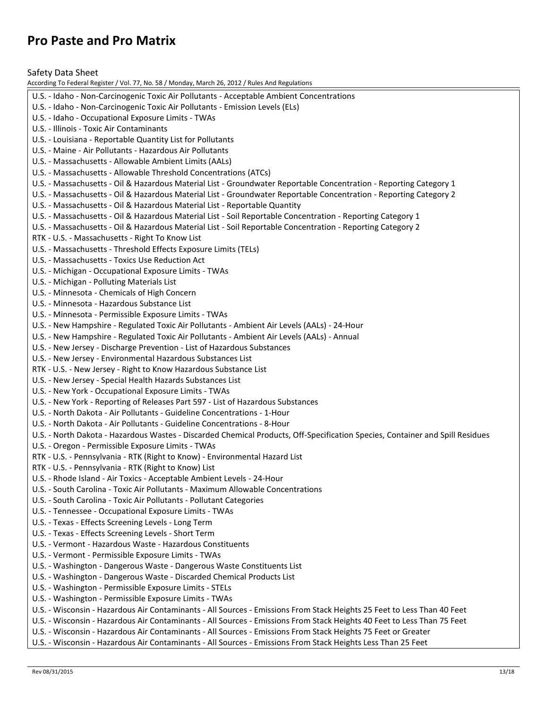Safety Data Sheet

According To Federal Register / Vol. 77, No. 58 / Monday, March 26, 2012 / Rules And Regulations U.S. - Idaho - Non-Carcinogenic Toxic Air Pollutants - Acceptable Ambient Concentrations U.S. - Idaho - Non-Carcinogenic Toxic Air Pollutants - Emission Levels (ELs) U.S. - Idaho - Occupational Exposure Limits - TWAs U.S. - Illinois - Toxic Air Contaminants U.S. - Louisiana - Reportable Quantity List for Pollutants U.S. - Maine - Air Pollutants - Hazardous Air Pollutants U.S. - Massachusetts - Allowable Ambient Limits (AALs) U.S. - Massachusetts - Allowable Threshold Concentrations (ATCs) U.S. - Massachusetts - Oil & Hazardous Material List - Groundwater Reportable Concentration - Reporting Category 1 U.S. - Massachusetts - Oil & Hazardous Material List - Groundwater Reportable Concentration - Reporting Category 2 U.S. - Massachusetts - Oil & Hazardous Material List - Reportable Quantity U.S. - Massachusetts - Oil & Hazardous Material List - Soil Reportable Concentration - Reporting Category 1 U.S. - Massachusetts - Oil & Hazardous Material List - Soil Reportable Concentration - Reporting Category 2 RTK - U.S. - Massachusetts - Right To Know List U.S. - Massachusetts - Threshold Effects Exposure Limits (TELs) U.S. - Massachusetts - Toxics Use Reduction Act U.S. - Michigan - Occupational Exposure Limits - TWAs U.S. - Michigan - Polluting Materials List U.S. - Minnesota - Chemicals of High Concern U.S. - Minnesota - Hazardous Substance List U.S. - Minnesota - Permissible Exposure Limits - TWAs U.S. - New Hampshire - Regulated Toxic Air Pollutants - Ambient Air Levels (AALs) - 24-Hour U.S. - New Hampshire - Regulated Toxic Air Pollutants - Ambient Air Levels (AALs) - Annual U.S. - New Jersey - Discharge Prevention - List of Hazardous Substances U.S. - New Jersey - Environmental Hazardous Substances List RTK - U.S. - New Jersey - Right to Know Hazardous Substance List U.S. - New Jersey - Special Health Hazards Substances List U.S. - New York - Occupational Exposure Limits - TWAs U.S. - New York - Reporting of Releases Part 597 - List of Hazardous Substances U.S. - North Dakota - Air Pollutants - Guideline Concentrations - 1-Hour U.S. - North Dakota - Air Pollutants - Guideline Concentrations - 8-Hour U.S. - North Dakota - Hazardous Wastes - Discarded Chemical Products, Off-Specification Species, Container and Spill Residues U.S. - Oregon - Permissible Exposure Limits - TWAs RTK - U.S. - Pennsylvania - RTK (Right to Know) - Environmental Hazard List RTK - U.S. - Pennsylvania - RTK (Right to Know) List U.S. - Rhode Island - Air Toxics - Acceptable Ambient Levels - 24-Hour U.S. - South Carolina - Toxic Air Pollutants - Maximum Allowable Concentrations U.S. - South Carolina - Toxic Air Pollutants - Pollutant Categories U.S. - Tennessee - Occupational Exposure Limits - TWAs U.S. - Texas - Effects Screening Levels - Long Term U.S. - Texas - Effects Screening Levels - Short Term U.S. - Vermont - Hazardous Waste - Hazardous Constituents U.S. - Vermont - Permissible Exposure Limits - TWAs U.S. - Washington - Dangerous Waste - Dangerous Waste Constituents List U.S. - Washington - Dangerous Waste - Discarded Chemical Products List U.S. - Washington - Permissible Exposure Limits - STELs U.S. - Washington - Permissible Exposure Limits - TWAs U.S. - Wisconsin - Hazardous Air Contaminants - All Sources - Emissions From Stack Heights 25 Feet to Less Than 40 Feet U.S. - Wisconsin - Hazardous Air Contaminants - All Sources - Emissions From Stack Heights 40 Feet to Less Than 75 Feet U.S. - Wisconsin - Hazardous Air Contaminants - All Sources - Emissions From Stack Heights 75 Feet or Greater U.S. - Wisconsin - Hazardous Air Contaminants - All Sources - Emissions From Stack Heights Less Than 25 Feet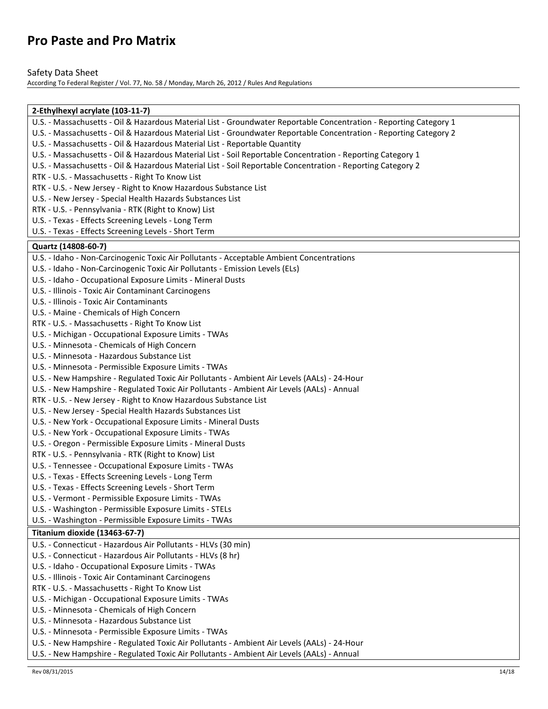### Safety Data Sheet

| 2-Ethylhexyl acrylate (103-11-7)                                                                                   |  |  |
|--------------------------------------------------------------------------------------------------------------------|--|--|
| U.S. - Massachusetts - Oil & Hazardous Material List - Groundwater Reportable Concentration - Reporting Category 1 |  |  |
| U.S. - Massachusetts - Oil & Hazardous Material List - Groundwater Reportable Concentration - Reporting Category 2 |  |  |
| U.S. - Massachusetts - Oil & Hazardous Material List - Reportable Quantity                                         |  |  |
| U.S. - Massachusetts - Oil & Hazardous Material List - Soil Reportable Concentration - Reporting Category 1        |  |  |
| U.S. - Massachusetts - Oil & Hazardous Material List - Soil Reportable Concentration - Reporting Category 2        |  |  |
| RTK - U.S. - Massachusetts - Right To Know List                                                                    |  |  |
| RTK - U.S. - New Jersey - Right to Know Hazardous Substance List                                                   |  |  |
| U.S. - New Jersey - Special Health Hazards Substances List                                                         |  |  |
| RTK - U.S. - Pennsylvania - RTK (Right to Know) List                                                               |  |  |
| U.S. - Texas - Effects Screening Levels - Long Term                                                                |  |  |
| U.S. - Texas - Effects Screening Levels - Short Term                                                               |  |  |
|                                                                                                                    |  |  |
| Quartz (14808-60-7)                                                                                                |  |  |
| U.S. - Idaho - Non-Carcinogenic Toxic Air Pollutants - Acceptable Ambient Concentrations                           |  |  |
| U.S. - Idaho - Non-Carcinogenic Toxic Air Pollutants - Emission Levels (ELs)                                       |  |  |
| U.S. - Idaho - Occupational Exposure Limits - Mineral Dusts                                                        |  |  |
| U.S. - Illinois - Toxic Air Contaminant Carcinogens                                                                |  |  |
| U.S. - Illinois - Toxic Air Contaminants                                                                           |  |  |
| U.S. - Maine - Chemicals of High Concern                                                                           |  |  |
| RTK - U.S. - Massachusetts - Right To Know List                                                                    |  |  |
| U.S. - Michigan - Occupational Exposure Limits - TWAs                                                              |  |  |
| U.S. - Minnesota - Chemicals of High Concern                                                                       |  |  |
| U.S. - Minnesota - Hazardous Substance List                                                                        |  |  |
| U.S. - Minnesota - Permissible Exposure Limits - TWAs                                                              |  |  |
| U.S. - New Hampshire - Regulated Toxic Air Pollutants - Ambient Air Levels (AALs) - 24-Hour                        |  |  |
| U.S. - New Hampshire - Regulated Toxic Air Pollutants - Ambient Air Levels (AALs) - Annual                         |  |  |
| RTK - U.S. - New Jersey - Right to Know Hazardous Substance List                                                   |  |  |
| U.S. - New Jersey - Special Health Hazards Substances List                                                         |  |  |
| U.S. - New York - Occupational Exposure Limits - Mineral Dusts                                                     |  |  |
| U.S. - New York - Occupational Exposure Limits - TWAs                                                              |  |  |
| U.S. - Oregon - Permissible Exposure Limits - Mineral Dusts                                                        |  |  |
| RTK - U.S. - Pennsylvania - RTK (Right to Know) List                                                               |  |  |
| U.S. - Tennessee - Occupational Exposure Limits - TWAs                                                             |  |  |
| U.S. - Texas - Effects Screening Levels - Long Term                                                                |  |  |
| U.S. - Texas - Effects Screening Levels - Short Term                                                               |  |  |
| U.S. - Vermont - Permissible Exposure Limits - TWAs                                                                |  |  |
| U.S. - Washington - Permissible Exposure Limits - STELs                                                            |  |  |
| U.S. - Washington - Permissible Exposure Limits - TWAs                                                             |  |  |
| Titanium dioxide (13463-67-7)                                                                                      |  |  |
| U.S. - Connecticut - Hazardous Air Pollutants - HLVs (30 min)                                                      |  |  |
| U.S. - Connecticut - Hazardous Air Pollutants - HLVs (8 hr)                                                        |  |  |
| U.S. - Idaho - Occupational Exposure Limits - TWAs                                                                 |  |  |
| U.S. - Illinois - Toxic Air Contaminant Carcinogens                                                                |  |  |
|                                                                                                                    |  |  |
| RTK - U.S. - Massachusetts - Right To Know List                                                                    |  |  |
| U.S. - Michigan - Occupational Exposure Limits - TWAs                                                              |  |  |
| U.S. - Minnesota - Chemicals of High Concern                                                                       |  |  |
| U.S. - Minnesota - Hazardous Substance List                                                                        |  |  |
| U.S. - Minnesota - Permissible Exposure Limits - TWAs                                                              |  |  |
| U.S. - New Hampshire - Regulated Toxic Air Pollutants - Ambient Air Levels (AALs) - 24-Hour                        |  |  |
| U.S. - New Hampshire - Regulated Toxic Air Pollutants - Ambient Air Levels (AALs) - Annual                         |  |  |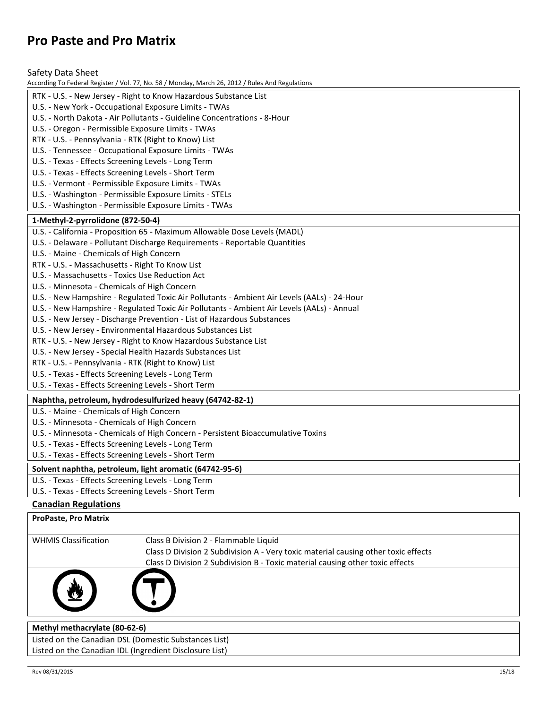Safety Data Sheet

| According To Federal Register / Vol. 77, No. 58 / Monday, March 26, 2012 / Rules And Regulations |  |  |
|--------------------------------------------------------------------------------------------------|--|--|
| RTK - U.S. - New Jersey - Right to Know Hazardous Substance List                                 |  |  |
| U.S. - New York - Occupational Exposure Limits - TWAs                                            |  |  |
| U.S. - North Dakota - Air Pollutants - Guideline Concentrations - 8-Hour                         |  |  |
| U.S. - Oregon - Permissible Exposure Limits - TWAs                                               |  |  |
| RTK - U.S. - Pennsylvania - RTK (Right to Know) List                                             |  |  |
| U.S. - Tennessee - Occupational Exposure Limits - TWAs                                           |  |  |
| U.S. - Texas - Effects Screening Levels - Long Term                                              |  |  |
| U.S. - Texas - Effects Screening Levels - Short Term                                             |  |  |
| U.S. - Vermont - Permissible Exposure Limits - TWAs                                              |  |  |
| U.S. - Washington - Permissible Exposure Limits - STELs                                          |  |  |
| U.S. - Washington - Permissible Exposure Limits - TWAs                                           |  |  |
| 1-Methyl-2-pyrrolidone (872-50-4)                                                                |  |  |
| U.S. - California - Proposition 65 - Maximum Allowable Dose Levels (MADL)                        |  |  |
| U.S. - Delaware - Pollutant Discharge Requirements - Reportable Quantities                       |  |  |
| U.S. - Maine - Chemicals of High Concern                                                         |  |  |
| RTK - U.S. - Massachusetts - Right To Know List                                                  |  |  |
| U.S. - Massachusetts - Toxics Use Reduction Act                                                  |  |  |
| U.S. - Minnesota - Chemicals of High Concern                                                     |  |  |
| U.S. - New Hampshire - Regulated Toxic Air Pollutants - Ambient Air Levels (AALs) - 24-Hour      |  |  |
| U.S. - New Hampshire - Regulated Toxic Air Pollutants - Ambient Air Levels (AALs) - Annual       |  |  |
| U.S. - New Jersey - Discharge Prevention - List of Hazardous Substances                          |  |  |
| U.S. - New Jersey - Environmental Hazardous Substances List                                      |  |  |
| RTK - U.S. - New Jersey - Right to Know Hazardous Substance List                                 |  |  |
| U.S. - New Jersey - Special Health Hazards Substances List                                       |  |  |
| RTK - U.S. - Pennsylvania - RTK (Right to Know) List                                             |  |  |
| U.S. - Texas - Effects Screening Levels - Long Term                                              |  |  |
| U.S. - Texas - Effects Screening Levels - Short Term                                             |  |  |
| Naphtha, petroleum, hydrodesulfurized heavy (64742-82-1)                                         |  |  |
| U.S. - Maine - Chemicals of High Concern                                                         |  |  |
| U.S. - Minnesota - Chemicals of High Concern                                                     |  |  |
| U.S. - Minnesota - Chemicals of High Concern - Persistent Bioaccumulative Toxins                 |  |  |
| U.S. - Texas - Effects Screening Levels - Long Term                                              |  |  |
| U.S. - Texas - Effects Screening Levels - Short Term                                             |  |  |
| Solvent naphtha, petroleum, light aromatic (64742-95-6)                                          |  |  |
| U.S. - Texas - Effects Screening Levels - Long Term                                              |  |  |
| U.S. - Texas - Effects Screening Levels - Short Term                                             |  |  |

# **Canadian Regulations**

| <b>ProPaste, Pro Matrix</b>                               |                                                                                    |
|-----------------------------------------------------------|------------------------------------------------------------------------------------|
|                                                           |                                                                                    |
| <b>WHMIS Classification</b>                               | Class B Division 2 - Flammable Liquid                                              |
|                                                           | Class D Division 2 Subdivision A - Very toxic material causing other toxic effects |
|                                                           | Class D Division 2 Subdivision B - Toxic material causing other toxic effects      |
|                                                           |                                                                                    |
| $A + L$ , $L = L$ , $L = L$ , $L = L$ , $A \cap A \cap A$ |                                                                                    |

#### **Methyl methacrylate (80-62-6)**

Listed on the Canadian DSL (Domestic Substances List) Listed on the Canadian IDL (Ingredient Disclosure List)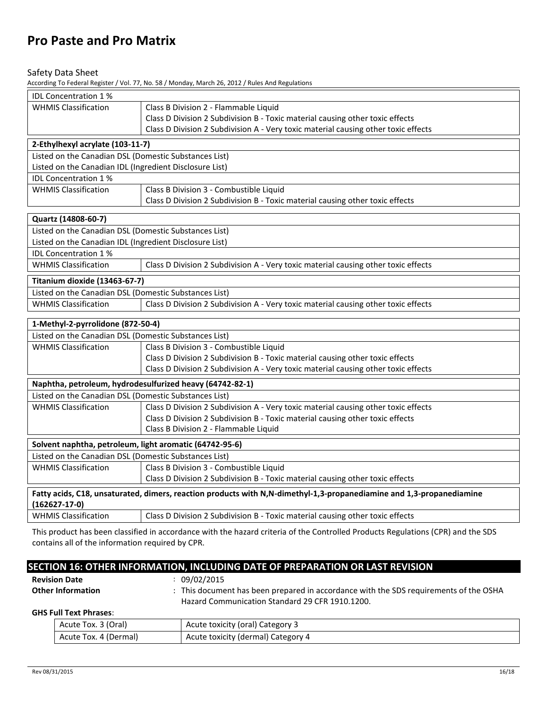#### Safety Data Sheet

According To Federal Register / Vol. 77, No. 58 / Monday, March 26, 2012 / Rules And Regulations

| <b>IDL Concentration 1%</b>                             |                                                                                                                      |  |  |
|---------------------------------------------------------|----------------------------------------------------------------------------------------------------------------------|--|--|
| <b>WHMIS Classification</b>                             | Class B Division 2 - Flammable Liquid                                                                                |  |  |
|                                                         | Class D Division 2 Subdivision B - Toxic material causing other toxic effects                                        |  |  |
|                                                         | Class D Division 2 Subdivision A - Very toxic material causing other toxic effects                                   |  |  |
| 2-Ethylhexyl acrylate (103-11-7)                        |                                                                                                                      |  |  |
| Listed on the Canadian DSL (Domestic Substances List)   |                                                                                                                      |  |  |
| Listed on the Canadian IDL (Ingredient Disclosure List) |                                                                                                                      |  |  |
| <b>IDL Concentration 1%</b>                             |                                                                                                                      |  |  |
| <b>WHMIS Classification</b>                             | Class B Division 3 - Combustible Liquid                                                                              |  |  |
|                                                         | Class D Division 2 Subdivision B - Toxic material causing other toxic effects                                        |  |  |
| Quartz (14808-60-7)                                     |                                                                                                                      |  |  |
| Listed on the Canadian DSL (Domestic Substances List)   |                                                                                                                      |  |  |
| Listed on the Canadian IDL (Ingredient Disclosure List) |                                                                                                                      |  |  |
| <b>IDL Concentration 1%</b>                             |                                                                                                                      |  |  |
| <b>WHMIS Classification</b>                             | Class D Division 2 Subdivision A - Very toxic material causing other toxic effects                                   |  |  |
| Titanium dioxide (13463-67-7)                           |                                                                                                                      |  |  |
| Listed on the Canadian DSL (Domestic Substances List)   |                                                                                                                      |  |  |
| <b>WHMIS Classification</b>                             | Class D Division 2 Subdivision A - Very toxic material causing other toxic effects                                   |  |  |
| 1-Methyl-2-pyrrolidone (872-50-4)                       |                                                                                                                      |  |  |
| Listed on the Canadian DSL (Domestic Substances List)   |                                                                                                                      |  |  |
| <b>WHMIS Classification</b>                             | Class B Division 3 - Combustible Liquid                                                                              |  |  |
|                                                         | Class D Division 2 Subdivision B - Toxic material causing other toxic effects                                        |  |  |
|                                                         | Class D Division 2 Subdivision A - Very toxic material causing other toxic effects                                   |  |  |
|                                                         | Naphtha, petroleum, hydrodesulfurized heavy (64742-82-1)                                                             |  |  |
| Listed on the Canadian DSL (Domestic Substances List)   |                                                                                                                      |  |  |
| <b>WHMIS Classification</b>                             | Class D Division 2 Subdivision A - Very toxic material causing other toxic effects                                   |  |  |
|                                                         | Class D Division 2 Subdivision B - Toxic material causing other toxic effects                                        |  |  |
|                                                         | Class B Division 2 - Flammable Liquid                                                                                |  |  |
| Solvent naphtha, petroleum, light aromatic (64742-95-6) |                                                                                                                      |  |  |
| Listed on the Canadian DSL (Domestic Substances List)   |                                                                                                                      |  |  |
| <b>WHMIS Classification</b>                             | Class B Division 3 - Combustible Liquid                                                                              |  |  |
|                                                         | Class D Division 2 Subdivision B - Toxic material causing other toxic effects                                        |  |  |
|                                                         | Fatty acids, C18, unsaturated, dimers, reaction products with N,N-dimethyl-1,3-propanediamine and 1,3-propanediamine |  |  |
| $(162627 - 17 - 0)$                                     |                                                                                                                      |  |  |
| <b>WHMIS Classification</b>                             | Class D Division 2 Subdivision B - Toxic material causing other toxic effects                                        |  |  |

This product has been classified in accordance with the hazard criteria of the Controlled Products Regulations (CPR) and the SDS contains all of the information required by CPR.

# **SECTION 16: OTHER INFORMATION, INCLUDING DATE OF PREPARATION OR LAST REVISION**

|                          | <b>Revision Date</b>          | 09/02/2015                                                                                                                               |  |
|--------------------------|-------------------------------|------------------------------------------------------------------------------------------------------------------------------------------|--|
| <b>Other Information</b> |                               | : This document has been prepared in accordance with the SDS requirements of the OSHA<br>Hazard Communication Standard 29 CFR 1910.1200. |  |
|                          | <b>GHS Full Text Phrases:</b> |                                                                                                                                          |  |
|                          | Acute Tox. 3 (Oral)           | Acute toxicity (oral) Category 3                                                                                                         |  |
|                          | Acute Tox. 4 (Dermal)         | Acute toxicity (dermal) Category 4                                                                                                       |  |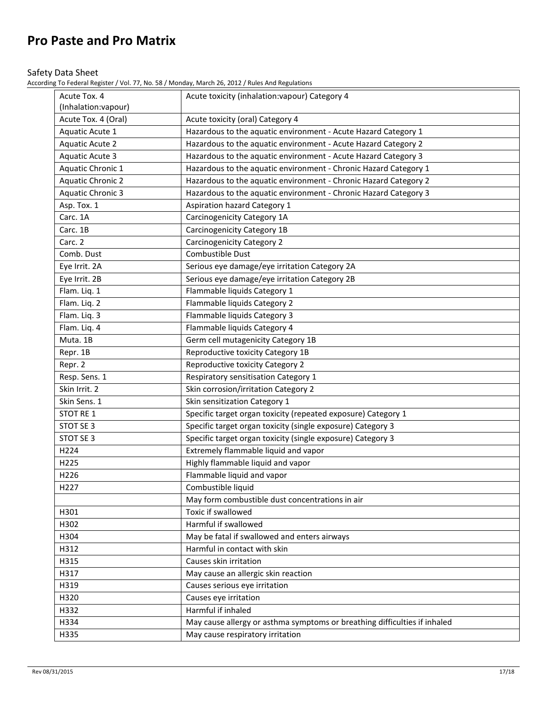### Safety Data Sheet

| Acute Tox. 4<br>(Inhalation:vapour) | Acute toxicity (inhalation: vapour) Category 4                            |
|-------------------------------------|---------------------------------------------------------------------------|
| Acute Tox. 4 (Oral)                 | Acute toxicity (oral) Category 4                                          |
| Aquatic Acute 1                     | Hazardous to the aquatic environment - Acute Hazard Category 1            |
| <b>Aquatic Acute 2</b>              | Hazardous to the aquatic environment - Acute Hazard Category 2            |
| Aquatic Acute 3                     | Hazardous to the aquatic environment - Acute Hazard Category 3            |
| Aquatic Chronic 1                   | Hazardous to the aquatic environment - Chronic Hazard Category 1          |
| <b>Aquatic Chronic 2</b>            | Hazardous to the aquatic environment - Chronic Hazard Category 2          |
| <b>Aquatic Chronic 3</b>            | Hazardous to the aquatic environment - Chronic Hazard Category 3          |
| Asp. Tox. 1                         | <b>Aspiration hazard Category 1</b>                                       |
| Carc. 1A                            | Carcinogenicity Category 1A                                               |
| Carc. 1B                            | Carcinogenicity Category 1B                                               |
| Carc. 2                             | <b>Carcinogenicity Category 2</b>                                         |
| Comb. Dust                          | Combustible Dust                                                          |
| Eye Irrit. 2A                       | Serious eye damage/eye irritation Category 2A                             |
| Eye Irrit. 2B                       | Serious eye damage/eye irritation Category 2B                             |
| Flam. Liq. 1                        | Flammable liquids Category 1                                              |
| Flam. Liq. 2                        | Flammable liquids Category 2                                              |
| Flam. Liq. 3                        | Flammable liquids Category 3                                              |
| Flam. Liq. 4                        | Flammable liquids Category 4                                              |
| Muta. 1B                            | Germ cell mutagenicity Category 1B                                        |
| Repr. 1B                            | Reproductive toxicity Category 1B                                         |
| Repr. 2                             | Reproductive toxicity Category 2                                          |
| Resp. Sens. 1                       | Respiratory sensitisation Category 1                                      |
| Skin Irrit. 2                       | Skin corrosion/irritation Category 2                                      |
| Skin Sens. 1                        | Skin sensitization Category 1                                             |
| STOT RE 1                           | Specific target organ toxicity (repeated exposure) Category 1             |
| STOT SE 3                           | Specific target organ toxicity (single exposure) Category 3               |
| STOT SE 3                           | Specific target organ toxicity (single exposure) Category 3               |
| H224                                | Extremely flammable liquid and vapor                                      |
| H225                                | Highly flammable liquid and vapor                                         |
| H226                                | Flammable liquid and vapor                                                |
| H227                                | Combustible liquid                                                        |
|                                     | May form combustible dust concentrations in air                           |
| H301                                | Toxic if swallowed                                                        |
| H302                                | Harmful if swallowed                                                      |
| H304                                | May be fatal if swallowed and enters airways                              |
| H312                                | Harmful in contact with skin                                              |
| H315                                | Causes skin irritation                                                    |
| H317                                | May cause an allergic skin reaction                                       |
| H319                                | Causes serious eye irritation                                             |
| H320                                | Causes eye irritation                                                     |
| H332                                | Harmful if inhaled                                                        |
|                                     |                                                                           |
| H334                                | May cause allergy or asthma symptoms or breathing difficulties if inhaled |
| H335                                | May cause respiratory irritation                                          |